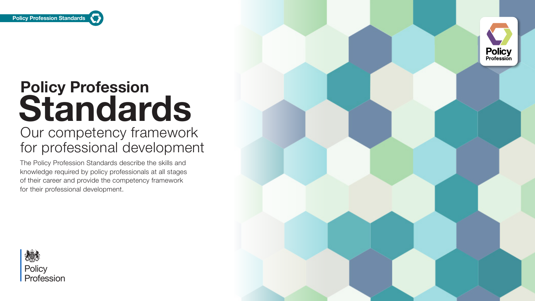

# **Policy Profession Standards**  Our competency framework for professional development

The Policy Profession Standards describe the skills and knowledge required by policy professionals at all stages of their career and provide the competency framework for their professional development.





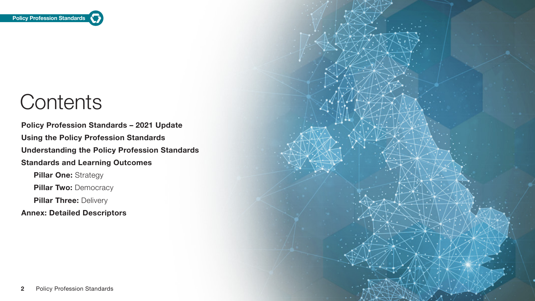

# **Contents**

### **Policy Profession Standards – 2021 Update**

**Using the Policy Profession Standards** 

### **Understanding the Policy Profession Standards**

### **Standards and Learning Outcomes**

**Pillar One: Strategy** 

**Pillar Two:** Democracy

**Pillar Three: Delivery** 

### **Annex: Detailed Descriptors**

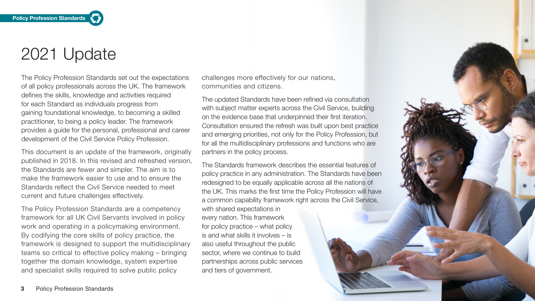**Policy Profession Standards** 

# 2021 Update

The Policy Profession Standards set out the expectations of all policy professionals across the UK. The framework defines the skills, knowledge and activities required for each Standard as individuals progress from gaining foundational knowledge, to becoming a skilled practitioner, to being a policy leader. The framework provides a guide for the personal, professional and career development of the Civil Service Policy Profession.

This document is an update of the framework, originally published in 2018. In this revised and refreshed version, the Standards are fewer and simpler. The aim is to make the framework easier to use and to ensure the Standards reflect the Civil Service needed to meet current and future challenges effectively.

The Policy Profession Standards are a competency framework for all UK Civil Servants involved in policy work and operating in a policymaking environment. By codifying the core skills of policy practice, the framework is designed to support the multidisciplinary teams so critical to effective policy making – bringing together the domain knowledge, system expertise and specialist skills required to solve public policy

challenges more effectively for our nations, communities and citizens.

The updated Standards have been refined via consultation with subject matter experts across the Civil Service, building on the evidence base that underpinned their first iteration. Consultation ensured the refresh was built upon best practice and emerging priorities, not only for the Policy Profession, but for all the multidisciplinary professions and functions who are partners in the policy process.

The Standards framework describes the essential features of policy practice in any administration. The Standards have been redesigned to be equally applicable across all the nations of the UK. This marks the first time the Policy Profession will have a common capability framework right across the Civil Service,

with shared expectations in every nation. This framework for policy practice – what policy is and what skills it involves – is also useful throughout the public sector, where we continue to build partnerships across public services and tiers of government.

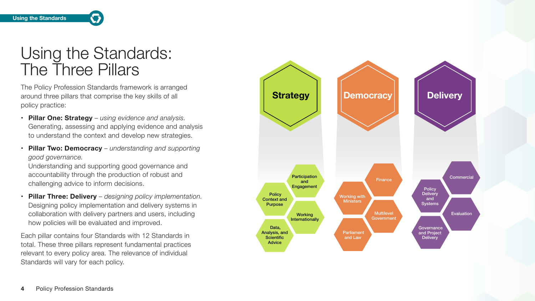# Using the Standards: The Three Pillars

The Policy Profession Standards framework is arranged around three pillars that comprise the key skills of all policy practice:

- **• Pillar One: Strategy** *using evidence and analysis.* Generating, assessing and applying evidence and analysis to understand the context and develop new strategies.
- **• Pillar Two: Democracy** *understanding and supporting good governance.*

Understanding and supporting good governance and accountability through the production of robust and challenging advice to inform decisions.

 total. These three pillars represent fundamental practices Each pillar contains four Standards with 12 Standards in relevant to every policy area. The relevance of individual Standards will vary for each policy.

**• Pillar Three: Delivery** – *designing policy implementation.* Designing policy implementation and delivery systems in collaboration with delivery partners and users, including how policies will be evaluated and improved.

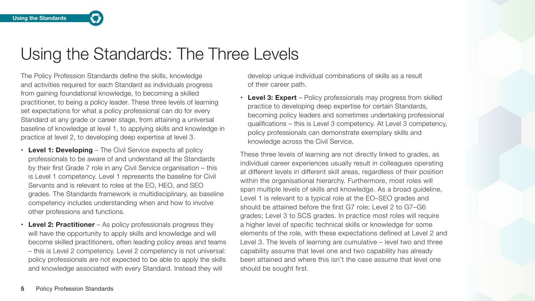## Using the Standards: The Three Levels

The Policy Profession Standards define the skills, knowledge and activities required for each Standard as individuals progress from gaining foundational knowledge, to becoming a skilled practitioner, to being a policy leader. These three levels of learning set expectations for what a policy professional can do for every Standard at any grade or career stage, from attaining a universal baseline of knowledge at level 1, to applying skills and knowledge in practice at level 2, to developing deep expertise at level 3.

- **• Level 1: Developing** The Civil Service expects all policy professionals to be aware of and understand all the Standards by their first Grade 7 role in any Civil Service organisation – this is Level 1 competency. Level 1 represents the baseline for Civil Servants and is relevant to roles at the EO, HEO, and SEO grades. The Standards framework is multidisciplinary, as baseline competency includes understanding when and how to involve other professions and functions.
- **• Level 2: Practitioner** As policy professionals progress they will have the opportunity to apply skills and knowledge and will become skilled practitioners, often leading policy areas and teams – this is Level 2 competency. Level 2 competency is not universal: policy professionals are not expected to be able to apply the skills and knowledge associated with every Standard. Instead they will

develop unique individual combinations of skills as a result of their career path.

**• Level 3: Expert** – Policy professionals may progress from skilled practice to developing deep expertise for certain Standards, becoming policy leaders and sometimes undertaking professional qualifications – this is Level 3 competency. At Level 3 competency, policy professionals can demonstrate exemplary skills and knowledge across the Civil Service.

These three levels of learning are not directly linked to grades, as individual career experiences usually result in colleagues operating at different levels in different skill areas, regardless of their position within the organisational hierarchy. Furthermore, most roles will span multiple levels of skills and knowledge. As a broad guideline, Level 1 is relevant to a typical role at the EO–SEO grades and should be attained before the first G7 role; Level 2 to G7–G6 grades; Level 3 to SCS grades. In practice most roles will require a higher level of specific technical skills or knowledge for some elements of the role, with these expectations defined at Level 2 and Level 3. The levels of learning are cumulative – level two and three capability assume that level one and two capability has already been attained and where this isn't the case assume that level one should be sought first.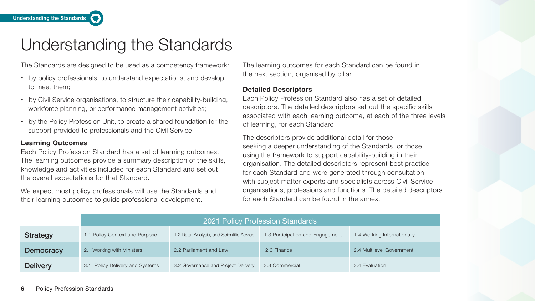**Understanding the Standards** 

# Understanding the Standards

The Standards are designed to be used as a competency framework:

- **•** by policy professionals, to understand expectations, and develop to meet them;
- **•** by Civil Service organisations, to structure their capability-building, workforce planning, or performance management activities;
- **•** by the Policy Profession Unit, to create a shared foundation for the support provided to professionals and the Civil Service.

#### **Learning Outcomes**

Each Policy Profession Standard has a set of learning outcomes. The learning outcomes provide a summary description of the skills, knowledge and activities included for each Standard and set out the overall expectations for that Standard.

We expect most policy professionals will use the Standards and their learning outcomes to guide professional development.

The learning outcomes for each Standard can be found in the next section, organised by pillar.

#### **Detailed Descriptors**

Each Policy Profession Standard also has a set of detailed descriptors. The detailed descriptors set out the specific skills associated with each learning outcome, at each of the three levels of learning, for each Standard.

The descriptors provide additional detail for those seeking a deeper understanding of the Standards, or those using the framework to support capability-building in their organisation. The detailed descriptors represent best practice for each Standard and were generated through consultation with subject matter experts and specialists across Civil Service organisations, professions and functions. The detailed descriptors for each Standard can be found in the annex.

|                  | 2021 Policy Profession Standards |                                           |                                  |                             |
|------------------|----------------------------------|-------------------------------------------|----------------------------------|-----------------------------|
| <b>Strategy</b>  | 1.1 Policy Context and Purpose   | 1.2 Data, Analysis, and Scientific Advice | 1.3 Participation and Engagement | 1.4 Working Internationally |
| <b>Democracy</b> | 2.1 Working with Ministers       | 2.2 Parliament and Law                    | 2.3 Finance                      | 2.4 Multilevel Government   |
| <b>Delivery</b>  | 3.1. Policy Delivery and Systems | 3.2 Governance and Project Delivery       | 3.3 Commercial                   | 3.4 Evaluation              |

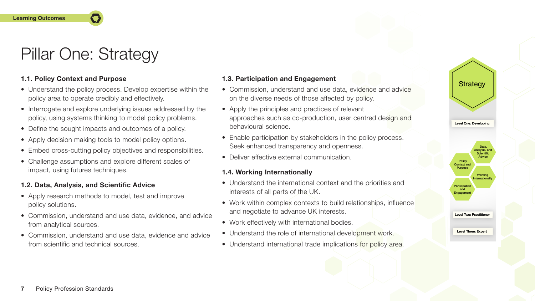## Pillar One: Strategy

#### **Learning Outcomes**

#### Level Two: Practitioner

Level Three: Expert

#### **1.1. Policy Context and Purpose**

- Understand the policy process. Develop expertise within the policy area to operate credibly and effectively.
- Interrogate and explore underlying issues addressed by the policy, using systems thinking to model policy problems.
- Define the sought impacts and outcomes of a policy.
- Apply decision making tools to model policy options.
- Embed cross-cutting policy objectives and responsibilities.
- Challenge assumptions and explore different scales of impact, using futures techniques.
- Commission, understand and use data, evidence and advice on the diverse needs of those affected by policy.
- Apply the principles and practices of relevant approaches such as co-production, user centred design and behavioural science.
- Enable participation by stakeholders in the policy process. Seek enhanced transparency and openness.
- Deliver effective external communication.

### **1.2. Data, Analysis, and Scientific Advice**

- Understand the international context and the priorities and interests of all parts of the UK.
- Work within complex contexts to build relationships, influence and negotiate to advance UK interests.
- Work effectively with international bodies.
- Understand the role of international development work.
- Understand international trade implications for policy area.
- Apply research methods to model, test and improve policy solutions.
- Commission, understand and use data, evidence, and advice from analytical sources.
- Commission, understand and use data, evidence and advice from scientific and technical sources.



Level One: Developing Developing



#### **1.3. Participation and Engagement**

#### **1.4. Working Internationally**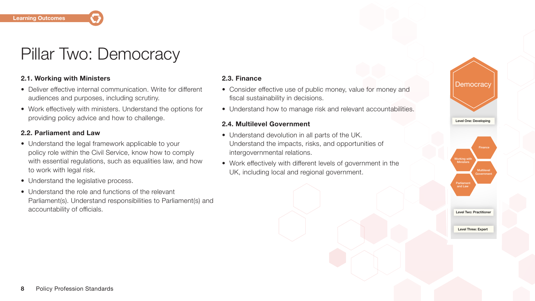#### **Learning Outcomes**

### Pillar Two: Democracy

#### **2.1. Working with Ministers**

- Deliver effective internal communication. Write for different audiences and purposes, including scrutiny.
- Work effectively with ministers. Understand the options for providing policy advice and how to challenge.

#### **2.2. Parliament and Law**

- Understand the legal framework applicable to your policy role within the Civil Service, know how to comply with essential regulations, such as equalities law, and how to work with legal risk.
- Understand the legislative process.
- Understand the role and functions of the relevant Parliament(s). Understand responsibilities to Parliament(s) and accountability of officials.



#### **2.3. Finance**

- Consider effective use of public money, value for money and fiscal sustainability in decisions.
- Understand how to manage risk and relevant accountabilities.

#### **2.4. Multilevel Government**

- Understand devolution in all parts of the UK. Understand the impacts, risks, and opportunities of intergovernmental relations.
- Work effectively with different levels of government in the UK, including local and regional government.